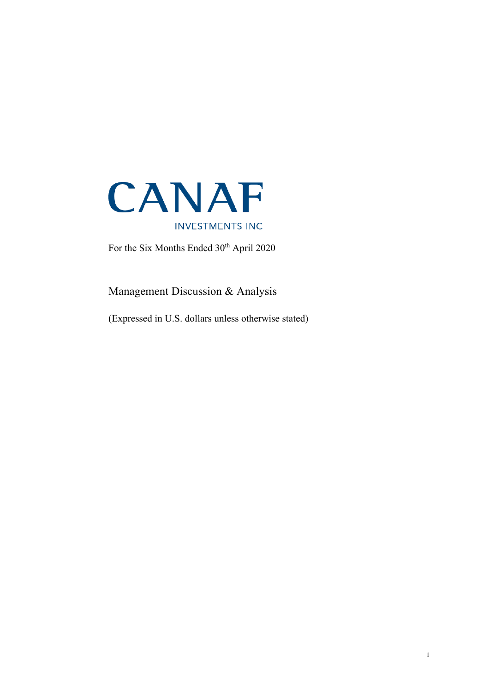

For the Six Months Ended 30<sup>th</sup> April 2020

Management Discussion & Analysis

(Expressed in U.S. dollars unless otherwise stated)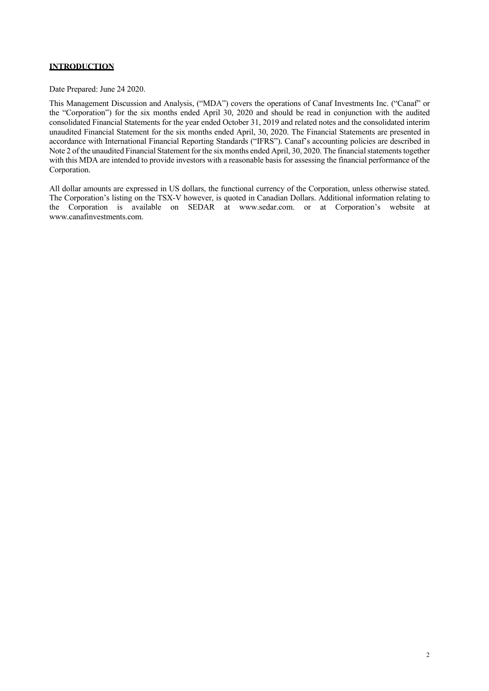## **INTRODUCTION**

Date Prepared: June 24 2020.

This Management Discussion and Analysis, ("MDA") covers the operations of Canaf Investments Inc. ("Canaf" or the "Corporation") for the six months ended April 30, 2020 and should be read in conjunction with the audited consolidated Financial Statements for the year ended October 31, 2019 and related notes and the consolidated interim unaudited Financial Statement for the six months ended April, 30, 2020. The Financial Statements are presented in accordance with International Financial Reporting Standards ("IFRS"). Canaf's accounting policies are described in Note 2 of the unaudited Financial Statement for the six months ended April, 30, 2020. The financial statements together with this MDA are intended to provide investors with a reasonable basis for assessing the financial performance of the Corporation.

All dollar amounts are expressed in US dollars, the functional currency of the Corporation, unless otherwise stated. The Corporation's listing on the TSX-V however, is quoted in Canadian Dollars. Additional information relating to the Corporation is available on SEDAR at www.sedar.com. or at Corporation's website at www.canafinvestments.com.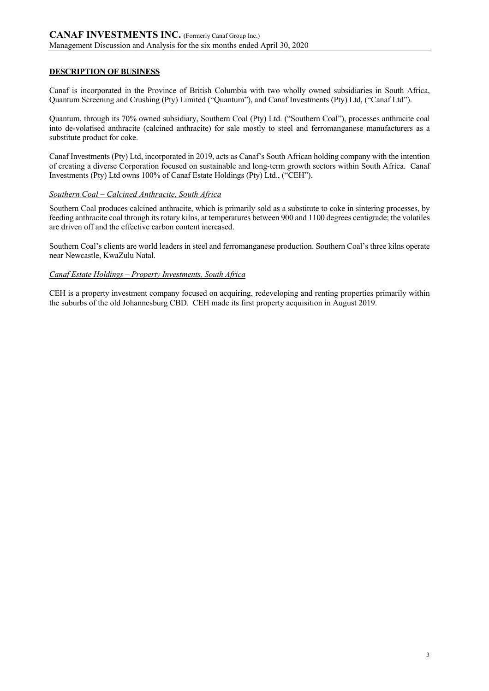## **DESCRIPTION OF BUSINESS**

Canaf is incorporated in the Province of British Columbia with two wholly owned subsidiaries in South Africa, Quantum Screening and Crushing (Pty) Limited ("Quantum"), and Canaf Investments (Pty) Ltd, ("Canaf Ltd").

Quantum, through its 70% owned subsidiary, Southern Coal (Pty) Ltd. ("Southern Coal"), processes anthracite coal into de-volatised anthracite (calcined anthracite) for sale mostly to steel and ferromanganese manufacturers as a substitute product for coke.

Canaf Investments (Pty) Ltd, incorporated in 2019, acts as Canaf's South African holding company with the intention of creating a diverse Corporation focused on sustainable and long-term growth sectors within South Africa. Canaf Investments (Pty) Ltd owns 100% of Canaf Estate Holdings (Pty) Ltd., ("CEH").

#### *Southern Coal – Calcined Anthracite, South Africa*

Southern Coal produces calcined anthracite, which is primarily sold as a substitute to coke in sintering processes, by feeding anthracite coal through its rotary kilns, at temperatures between 900 and 1100 degrees centigrade; the volatiles are driven off and the effective carbon content increased.

Southern Coal's clients are world leaders in steel and ferromanganese production. Southern Coal's three kilns operate near Newcastle, KwaZulu Natal.

#### *Canaf Estate Holdings – Property Investments, South Africa*

CEH is a property investment company focused on acquiring, redeveloping and renting properties primarily within the suburbs of the old Johannesburg CBD. CEH made its first property acquisition in August 2019.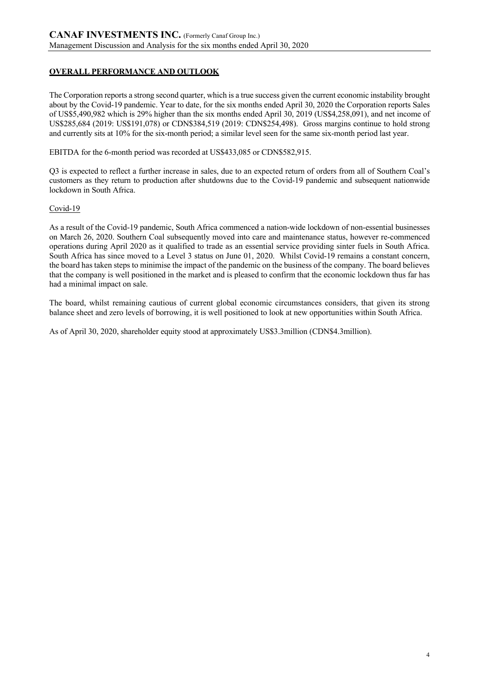## **OVERALL PERFORMANCE AND OUTLOOK**

The Corporation reports a strong second quarter, which is a true success given the current economic instability brought about by the Covid-19 pandemic. Year to date, for the six months ended April 30, 2020 the Corporation reports Sales of US\$5,490,982 which is 29% higher than the six months ended April 30, 2019 (US\$4,258,091), and net income of US\$285,684 (2019: US\$191,078) or CDN\$384,519 (2019: CDN\$254,498). Gross margins continue to hold strong and currently sits at 10% for the six-month period; a similar level seen for the same six-month period last year.

EBITDA for the 6-month period was recorded at US\$433,085 or CDN\$582,915.

Q3 is expected to reflect a further increase in sales, due to an expected return of orders from all of Southern Coal's customers as they return to production after shutdowns due to the Covid-19 pandemic and subsequent nationwide lockdown in South Africa.

### Covid-19

As a result of the Covid-19 pandemic, South Africa commenced a nation-wide lockdown of non-essential businesses on March 26, 2020. Southern Coal subsequently moved into care and maintenance status, however re-commenced operations during April 2020 as it qualified to trade as an essential service providing sinter fuels in South Africa. South Africa has since moved to a Level 3 status on June 01, 2020. Whilst Covid-19 remains a constant concern, the board has taken steps to minimise the impact of the pandemic on the business of the company. The board believes that the company is well positioned in the market and is pleased to confirm that the economic lockdown thus far has had a minimal impact on sale.

The board, whilst remaining cautious of current global economic circumstances considers, that given its strong balance sheet and zero levels of borrowing, it is well positioned to look at new opportunities within South Africa.

As of April 30, 2020, shareholder equity stood at approximately US\$3.3million (CDN\$4.3million).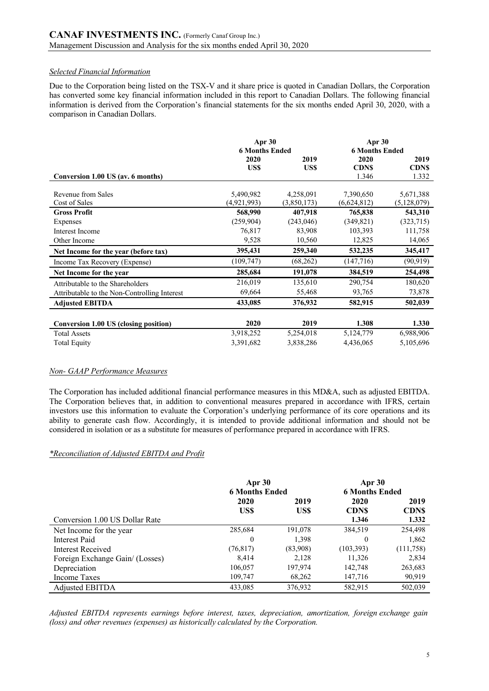### *Selected Financial Information*

Due to the Corporation being listed on the TSX-V and it share price is quoted in Canadian Dollars, the Corporation has converted some key financial information included in this report to Canadian Dollars. The following financial information is derived from the Corporation's financial statements for the six months ended April 30, 2020, with a comparison in Canadian Dollars.

|                                              | Apr 30<br><b>6 Months Ended</b> |             | Apr 30<br><b>6 Months Ended</b> |               |
|----------------------------------------------|---------------------------------|-------------|---------------------------------|---------------|
|                                              | 2020                            | 2019        | 2020                            | 2019          |
|                                              | US\$                            | US\$        | <b>CDNS</b>                     | <b>CDNS</b>   |
| Conversion 1.00 US (av. 6 months)            |                                 |             | 1.346                           | 1.332         |
|                                              |                                 |             |                                 |               |
| Revenue from Sales                           | 5,490,982                       | 4,258,091   | 7,390,650                       | 5,671,388     |
| Cost of Sales                                | (4,921,993)                     | (3,850,173) | (6,624,812)                     | (5, 128, 079) |
| <b>Gross Profit</b>                          | 568,990                         | 407,918     | 765,838                         | 543,310       |
| Expenses                                     | (259, 904)                      | (243, 046)  | (349, 821)                      | (323,715)     |
| Interest Income                              | 76,817                          | 83,908      | 103,393                         | 111,758       |
| Other Income                                 | 9,528                           | 10,560      | 12,825                          | 14,065        |
| Net Income for the year (before tax)         | 395,431                         | 259,340     | 532,235                         | 345,417       |
| Income Tax Recovery (Expense)                | (109, 747)                      | (68, 262)   | (147, 716)                      | (90, 919)     |
| Net Income for the year                      | 285,684                         | 191,078     | 384,519                         | 254,498       |
| Attributable to the Shareholders             | 216,019                         | 135,610     | 290,754                         | 180,620       |
| Attributable to the Non-Controlling Interest | 69,664                          | 55,468      | 93,765                          | 73,878        |
| <b>Adjusted EBITDA</b>                       | 433,085                         | 376,932     | 582,915                         | 502,039       |
|                                              |                                 |             |                                 |               |
| Conversion 1.00 US (closing position)        | 2020                            | 2019        | 1.308                           | 1.330         |
| <b>Total Assets</b>                          | 3,918,252                       | 5,254,018   | 5,124,779                       | 6,988,906     |
| <b>Total Equity</b>                          | 3,391,682                       | 3,838,286   | 4,436,065                       | 5,105,696     |

#### *Non- GAAP Performance Measures*

The Corporation has included additional financial performance measures in this MD&A, such as adjusted EBITDA. The Corporation believes that, in addition to conventional measures prepared in accordance with IFRS, certain investors use this information to evaluate the Corporation's underlying performance of its core operations and its ability to generate cash flow. Accordingly, it is intended to provide additional information and should not be considered in isolation or as a substitute for measures of performance prepared in accordance with IFRS.

### *\*Reconciliation of Adjusted EBITDA and Profit*

|                                 | Apr 30                |          | Apr 30                |             |
|---------------------------------|-----------------------|----------|-----------------------|-------------|
|                                 | <b>6 Months Ended</b> |          | <b>6 Months Ended</b> |             |
|                                 | 2020                  | 2019     | 2020                  | 2019        |
|                                 | US\$                  | US\$     | <b>CDNS</b>           | <b>CDNS</b> |
| Conversion 1.00 US Dollar Rate  |                       |          | 1.346                 | 1.332       |
| Net Income for the year         | 285,684               | 191,078  | 384,519               | 254,498     |
| Interest Paid                   | 0                     | 1,398    | 0                     | 1,862       |
| Interest Received               | (76, 817)             | (83,908) | (103, 393)            | (111,758)   |
| Foreign Exchange Gain/ (Losses) | 8.414                 | 2,128    | 11,326                | 2,834       |
| Depreciation                    | 106,057               | 197,974  | 142,748               | 263,683     |
| Income Taxes                    | 109,747               | 68,262   | 147,716               | 90,919      |
| Adjusted EBITDA                 | 433,085               | 376,932  | 582,915               | 502,039     |

*Adjusted EBITDA represents earnings before interest, taxes, depreciation, amortization, foreign exchange gain (loss) and other revenues (expenses) as historically calculated by the Corporation.*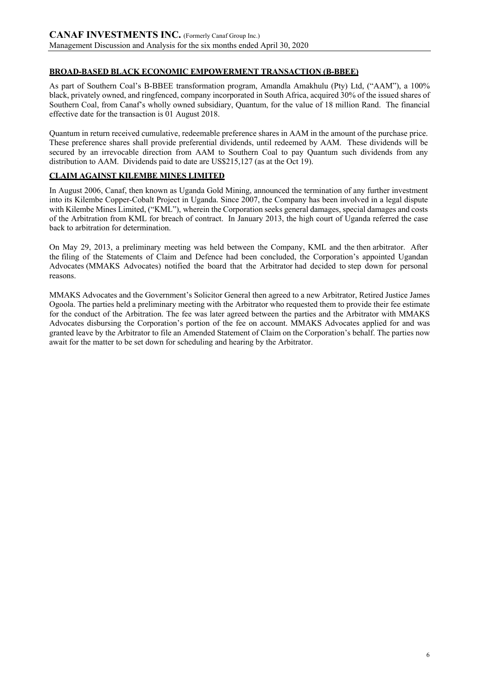## **BROAD-BASED BLACK ECONOMIC EMPOWERMENT TRANSACTION (B-BBEE)**

As part of Southern Coal's B-BBEE transformation program, Amandla Amakhulu (Pty) Ltd, ("AAM"), a 100% black, privately owned, and ringfenced, company incorporated in South Africa, acquired 30% of the issued shares of Southern Coal, from Canaf's wholly owned subsidiary, Quantum, for the value of 18 million Rand. The financial effective date for the transaction is 01 August 2018.

Quantum in return received cumulative, redeemable preference shares in AAM in the amount of the purchase price. These preference shares shall provide preferential dividends, until redeemed by AAM. These dividends will be secured by an irrevocable direction from AAM to Southern Coal to pay Quantum such dividends from any distribution to AAM. Dividends paid to date are US\$215,127 (as at the Oct 19).

## **CLAIM AGAINST KILEMBE MINES LIMITED**

In August 2006, Canaf, then known as Uganda Gold Mining, announced the termination of any further investment into its Kilembe Copper-Cobalt Project in Uganda. Since 2007, the Company has been involved in a legal dispute with Kilembe Mines Limited, ("KML"), wherein the Corporation seeks general damages, special damages and costs of the Arbitration from KML for breach of contract. In January 2013, the high court of Uganda referred the case back to arbitration for determination.

On May 29, 2013, a preliminary meeting was held between the Company, KML and the then arbitrator. After the filing of the Statements of Claim and Defence had been concluded, the Corporation's appointed Ugandan Advocates (MMAKS Advocates) notified the board that the Arbitrator had decided to step down for personal reasons.

MMAKS Advocates and the Government's Solicitor General then agreed to a new Arbitrator, Retired Justice James Ogoola. The parties held a preliminary meeting with the Arbitrator who requested them to provide their fee estimate for the conduct of the Arbitration. The fee was later agreed between the parties and the Arbitrator with MMAKS Advocates disbursing the Corporation's portion of the fee on account. MMAKS Advocates applied for and was granted leave by the Arbitrator to file an Amended Statement of Claim on the Corporation's behalf. The parties now await for the matter to be set down for scheduling and hearing by the Arbitrator.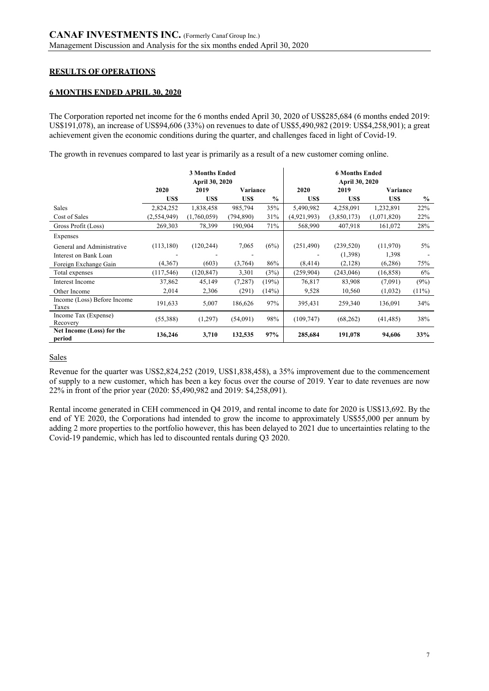## **RESULTS OF OPERATIONS**

### **6 MONTHS ENDED APRIL 30, 2020**

The Corporation reported net income for the 6 months ended April 30, 2020 of US\$285,684 (6 months ended 2019: US\$191,078), an increase of US\$94,606 (33%) on revenues to date of US\$5,490,982 (2019: US\$4,258,901); a great achievement given the economic conditions during the quarter, and challenges faced in light of Covid-19.

The growth in revenues compared to last year is primarily as a result of a new customer coming online.

|                                      | <b>3 Months Ended</b><br><b>April 30, 2020</b> |             |            |               | <b>6 Months Ended</b><br><b>April 30, 2020</b> |             |             |               |
|--------------------------------------|------------------------------------------------|-------------|------------|---------------|------------------------------------------------|-------------|-------------|---------------|
|                                      | 2020                                           | 2019        | Variance   |               | 2020                                           | 2019        | Variance    |               |
|                                      | US\$                                           | US\$        | US\$       | $\frac{0}{0}$ | US\$                                           | US\$        | US\$        | $\frac{0}{0}$ |
| <b>Sales</b>                         | 2,824,252                                      | 1,838,458   | 985,794    | 35%           | 5,490,982                                      | 4,258,091   | 1,232,891   | 22%           |
| Cost of Sales                        | (2,554,949)                                    | (1,760,059) | (794, 890) | 31%           | (4,921,993)                                    | (3,850,173) | (1,071,820) | 22%           |
| Gross Profit (Loss)                  | 269,303                                        | 78,399      | 190,904    | 71%           | 568,990                                        | 407,918     | 161,072     | 28%           |
| Expenses                             |                                                |             |            |               |                                                |             |             |               |
| General and Administrative           | (113, 180)                                     | (120, 244)  | 7,065      | (6%)          | (251, 490)                                     | (239, 520)  | (11,970)    | 5%            |
| Interest on Bank Loan                |                                                |             |            |               |                                                | (1,398)     | 1,398       |               |
| Foreign Exchange Gain                | (4,367)                                        | (603)       | (3,764)    | 86%           | (8, 414)                                       | (2,128)     | (6,286)     | 75%           |
| Total expenses                       | (117, 546)                                     | (120, 847)  | 3,301      | (3%)          | (259, 904)                                     | (243, 046)  | (16, 858)   | 6%            |
| Interest Income                      | 37,862                                         | 45,149      | (7, 287)   | (19%)         | 76,817                                         | 83,908      | (7,091)     | (9%)          |
| Other Income                         | 2,014                                          | 2,306       | (291)      | (14%)         | 9,528                                          | 10,560      | (1,032)     | $(11\%)$      |
| Income (Loss) Before Income<br>Taxes | 191,633                                        | 5,007       | 186,626    | 97%           | 395,431                                        | 259,340     | 136,091     | 34%           |
| Income Tax (Expense)<br>Recovery     | (55,388)                                       | (1,297)     | (54,091)   | 98%           | (109, 747)                                     | (68, 262)   | (41, 485)   | 38%           |
| Net Income (Loss) for the<br>period  | 136,246                                        | 3,710       | 132,535    | 97%           | 285,684                                        | 191,078     | 94,606      | 33%           |

### Sales

Revenue for the quarter was US\$2,824,252 (2019, US\$1,838,458), a 35% improvement due to the commencement of supply to a new customer, which has been a key focus over the course of 2019. Year to date revenues are now 22% in front of the prior year (2020: \$5,490,982 and 2019: \$4,258,091).

Rental income generated in CEH commenced in Q4 2019, and rental income to date for 2020 is US\$13,692. By the end of YE 2020, the Corporations had intended to grow the income to approximately US\$55,000 per annum by adding 2 more properties to the portfolio however, this has been delayed to 2021 due to uncertainties relating to the Covid-19 pandemic, which has led to discounted rentals during Q3 2020.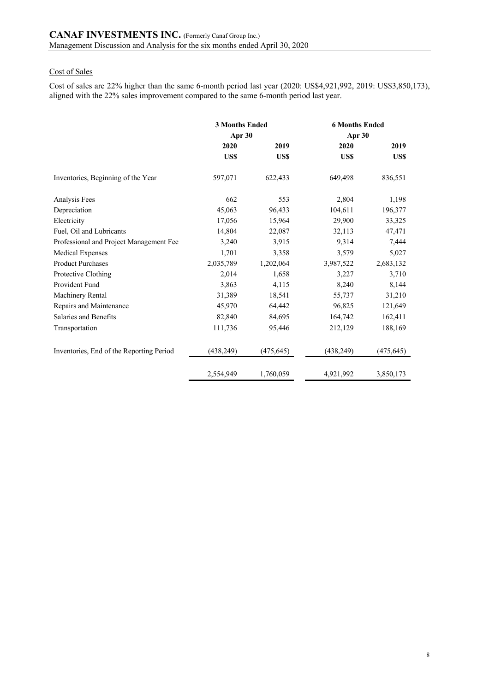# Cost of Sales

Cost of sales are 22% higher than the same 6-month period last year (2020: US\$4,921,992, 2019: US\$3,850,173), aligned with the 22% sales improvement compared to the same 6-month period last year.

|                                          | <b>3 Months Ended</b><br>Apr 30 |            | <b>6 Months Ended</b><br>Apr 30 |            |
|------------------------------------------|---------------------------------|------------|---------------------------------|------------|
|                                          | 2020<br>2019                    |            | 2020                            | 2019       |
|                                          | US\$                            | <b>USS</b> | US\$                            | US\$       |
| Inventories, Beginning of the Year       | 597,071                         | 622,433    | 649,498                         | 836,551    |
| Analysis Fees                            | 662                             | 553        | 2,804                           | 1,198      |
| Depreciation                             | 45,063                          | 96,433     | 104,611                         | 196,377    |
| Electricity                              | 17,056                          | 15,964     | 29,900                          | 33,325     |
| Fuel, Oil and Lubricants                 | 14,804                          | 22,087     | 32,113                          | 47,471     |
| Professional and Project Management Fee  | 3,240                           | 3,915      | 9,314                           | 7,444      |
| <b>Medical Expenses</b>                  | 1,701                           | 3,358      | 3,579                           | 5,027      |
| <b>Product Purchases</b>                 | 2,035,789                       | 1,202,064  | 3,987,522                       | 2,683,132  |
| Protective Clothing                      | 2,014                           | 1,658      | 3,227                           | 3,710      |
| Provident Fund                           | 3,863                           | 4,115      | 8,240                           | 8,144      |
| Machinery Rental                         | 31,389                          | 18,541     | 55,737                          | 31,210     |
| Repairs and Maintenance                  | 45,970                          | 64,442     | 96,825                          | 121,649    |
| Salaries and Benefits                    | 82,840                          | 84,695     | 164,742                         | 162,411    |
| Transportation                           | 111,736                         | 95,446     | 212,129                         | 188,169    |
| Inventories, End of the Reporting Period | (438, 249)                      | (475, 645) | (438, 249)                      | (475, 645) |
|                                          | 2,554,949                       | 1,760,059  | 4,921,992                       | 3,850,173  |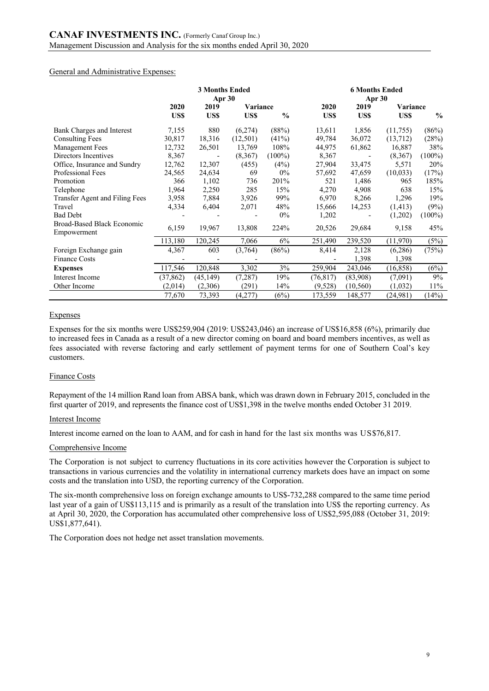General and Administrative Expenses:

|                                           | <b>3 Months Ended</b><br>Apr 30 |           |                 |               | <b>6 Months Ended</b><br>Apr 30 |           |           |               |
|-------------------------------------------|---------------------------------|-----------|-----------------|---------------|---------------------------------|-----------|-----------|---------------|
|                                           | 2020                            | 2019      | <b>Variance</b> |               | 2020                            | 2019      | Variance  |               |
|                                           | US\$                            | US\$      | US\$            | $\frac{0}{0}$ | US\$                            | US\$      | US\$      | $\frac{6}{6}$ |
| Bank Charges and Interest                 | 7,155                           | 880       | (6,274)         | (88%)         | 13,611                          | 1,856     | (11,755)  | (86%)         |
| <b>Consulting Fees</b>                    | 30,817                          | 18,316    | (12,501)        | (41%)         | 49,784                          | 36,072    | (13,712)  | (28%)         |
| <b>Management Fees</b>                    | 12,732                          | 26,501    | 13,769          | 108%          | 44,975                          | 61,862    | 16,887    | 38%           |
| Directors Incentives                      | 8,367                           |           | (8,367)         | $(100\%)$     | 8,367                           |           | (8,367)   | $(100\%)$     |
| Office, Insurance and Sundry              | 12,762                          | 12,307    | (455)           | (4%)          | 27,904                          | 33,475    | 5,571     | 20%           |
| Professional Fees                         | 24,565                          | 24,634    | 69              | $0\%$         | 57,692                          | 47,659    | (10,033)  | (17%)         |
| Promotion                                 | 366                             | 1,102     | 736             | 201%          | 521                             | 1,486     | 965       | 185%          |
| Telephone                                 | 1,964                           | 2,250     | 285             | 15%           | 4,270                           | 4,908     | 638       | 15%           |
| Transfer Agent and Filing Fees            | 3,958                           | 7,884     | 3,926           | 99%           | 6,970                           | 8,266     | 1,296     | 19%           |
| Travel                                    | 4,334                           | 6,404     | 2,071           | 48%           | 15,666                          | 14,253    | (1, 413)  | (9%)          |
| <b>Bad Debt</b>                           |                                 |           |                 | $0\%$         | 1,202                           |           | (1,202)   | $(100\%)$     |
| Broad-Based Black Economic<br>Empowerment | 6,159                           | 19,967    | 13,808          | 224%          | 20,526                          | 29,684    | 9,158     | 45%           |
|                                           | 113,180                         | 120,245   | 7,066           | 6%            | 251,490                         | 239,520   | (11,970)  | (5%)          |
| Foreign Exchange gain                     | 4,367                           | 603       | (3,764)         | (86%)         | 8,414                           | 2,128     | (6,286)   | (75%)         |
| <b>Finance Costs</b>                      |                                 |           |                 |               |                                 | 1,398     | 1,398     |               |
| <b>Expenses</b>                           | 117,546                         | 120,848   | 3,302           | 3%            | 259,904                         | 243,046   | (16, 858) | (6%)          |
| Interest Income                           | (37, 862)                       | (45, 149) | (7, 287)        | 19%           | (76, 817)                       | (83,908)  | (7,091)   | 9%            |
| Other Income                              | (2,014)                         | (2,306)   | (291)           | 14%           | (9,528)                         | (10, 560) | (1,032)   | 11%           |
|                                           | 77,670                          | 73,393    | (4,277)         | (6%)          | 173,559                         | 148,577   | (24,981)  | (14%)         |

### **Expenses**

Expenses for the six months were US\$259,904 (2019: US\$243,046) an increase of US\$16,858 (6%), primarily due to increased fees in Canada as a result of a new director coming on board and board members incentives, as well as fees associated with reverse factoring and early settlement of payment terms for one of Southern Coal's key customers.

#### Finance Costs

Repayment of the 14 million Rand loan from ABSA bank, which was drawn down in February 2015, concluded in the first quarter of 2019, and represents the finance cost of US\$1,398 in the twelve months ended October 31 2019.

#### Interest Income

Interest income earned on the loan to AAM, and for cash in hand for the last six months was US\$76,817.

#### Comprehensive Income

The Corporation is not subject to currency fluctuations in its core activities however the Corporation is subject to transactions in various currencies and the volatility in international currency markets does have an impact on some costs and the translation into USD, the reporting currency of the Corporation.

The six-month comprehensive loss on foreign exchange amounts to US\$-732,288 compared to the same time period last year of a gain of US\$113,115 and is primarily as a result of the translation into US\$ the reporting currency. As at April 30, 2020, the Corporation has accumulated other comprehensive loss of US\$2,595,088 (October 31, 2019: US\$1,877,641).

The Corporation does not hedge net asset translation movements.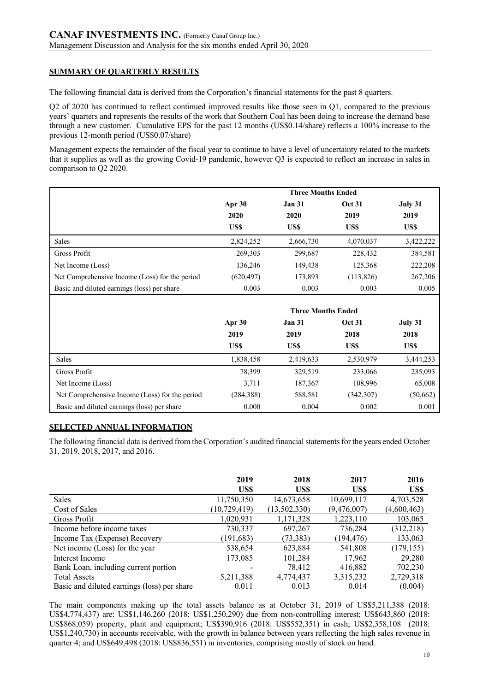## **SUMMARY OF QUARTERLY RESULTS**

The following financial data is derived from the Corporation's financial statements for the past 8 quarters.

Q2 of 2020 has continued to reflect continued improved results like those seen in Q1, compared to the previous years' quarters and represents the results of the work that Southern Coal has been doing to increase the demand base through a new customer. Cumulative EPS for the past 12 months (US\$0.14/share) reflects a 100% increase to the previous 12-month period (US\$0.07/share)

Management expects the remainder of the fiscal year to continue to have a level of uncertainty related to the markets that it supplies as well as the growing Covid-19 pandemic, however Q3 is expected to reflect an increase in sales in comparison to Q2 2020.

|                                                | <b>Three Months Ended</b> |               |               |           |
|------------------------------------------------|---------------------------|---------------|---------------|-----------|
|                                                | Apr 30                    | <b>Jan 31</b> | <b>Oct 31</b> | July 31   |
|                                                | 2020                      | 2020          | 2019          | 2019      |
|                                                | US\$                      | US\$          | US\$          | US\$      |
| Sales                                          | 2,824,252                 | 2,666,730     | 4,070,037     | 3,422,222 |
| Gross Profit                                   | 269,303                   | 299,687       | 228,432       | 384,581   |
| Net Income (Loss)                              | 136,246                   | 149,438       | 125,368       | 222,208   |
| Net Comprehensive Income (Loss) for the period | (620, 497)                | 173,893       | (113,826)     | 267,206   |
| Basic and diluted earnings (loss) per share    | 0.003                     | 0.003         | 0.003         | 0.005     |

|                                                | <b>Three Months Ended</b> |               |               |           |
|------------------------------------------------|---------------------------|---------------|---------------|-----------|
|                                                | Apr 30                    | <b>Jan 31</b> | <b>Oct 31</b> | July 31   |
|                                                | 2019                      | 2019          | 2018          | 2018      |
|                                                | US\$                      | US\$          | US\$          | US\$      |
| <b>Sales</b>                                   | 1,838,458                 | 2,419,633     | 2,530,979     | 3,444,253 |
| Gross Profit                                   | 78,399                    | 329,519       | 233,066       | 235,093   |
| Net Income (Loss)                              | 3.711                     | 187,367       | 108,996       | 65,008    |
| Net Comprehensive Income (Loss) for the period | (284, 388)                | 588,581       | (342, 307)    | (50, 662) |
| Basic and diluted earnings (loss) per share    | 0.000                     | 0.004         | 0.002         | 0.001     |

## **SELECTED ANNUAL INFORMATION**

The following financial data is derived from the Corporation's audited financial statements for the years ended October 31, 2019, 2018, 2017, and 2016.

|                                             | 2019           | 2018         | 2017        | 2016        |
|---------------------------------------------|----------------|--------------|-------------|-------------|
|                                             | US\$           | US\$         | US\$        | US\$        |
| <b>Sales</b>                                | 11,750,350     | 14,673,658   | 10,699,117  | 4,703,528   |
| Cost of Sales                               | (10, 729, 419) | (13,502,330) | (9,476,007) | (4,600,463) |
| Gross Profit                                | 1,020,931      | 1,171,328    | 1,223,110   | 103,065     |
| Income before income taxes                  | 730,337        | 697,267      | 736,284     | (312, 218)  |
| Income Tax (Expense) Recovery               | (191, 683)     | (73, 383)    | (194, 476)  | 133,063     |
| Net income (Loss) for the year              | 538,654        | 623,884      | 541,808     | (179, 155)  |
| Interest Income                             | 173,085        | 101.284      | 17,962      | 29,280      |
| Bank Loan, including current portion        |                | 78,412       | 416,882     | 702,230     |
| <b>Total Assets</b>                         | 5,211,388      | 4,774,437    | 3,315,232   | 2,729,318   |
| Basic and diluted earnings (loss) per share | 0.011          | 0.013        | 0.014       | (0.004)     |

The main components making up the total assets balance as at October 31, 2019 of US\$5,211,388 (2018: US\$4,774,437) are: US\$1,146,260 (2018: US\$1,250,290) due from non-controlling interest; US\$643,860 (2018: US\$868,059) property, plant and equipment; US\$390,916 (2018: US\$552,351) in cash; US\$2,358,108 (2018: US\$1,240,730) in accounts receivable, with the growth in balance between years reflecting the high sales revenue in quarter 4; and US\$649,498 (2018: US\$836,551) in inventories, comprising mostly of stock on hand.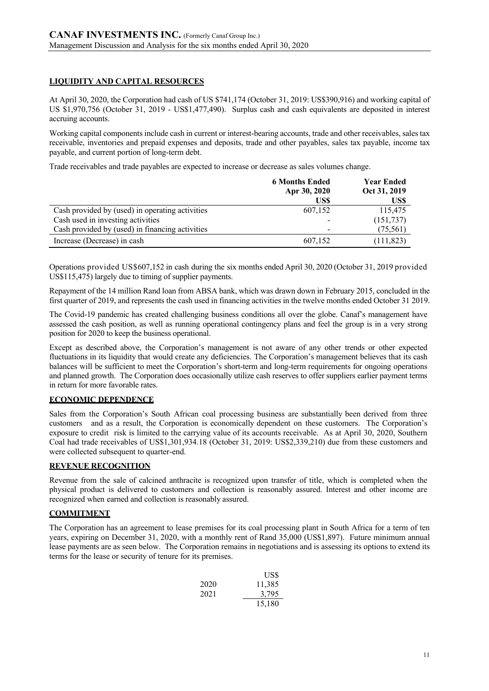## **LIQUIDITY AND CAPITAL RESOURCES**

At April 30, 2020, the Corporation had cash of US \$741,174 (October 31, 2019: US\$390,916) and working capital of US \$1,970,756 (October 31, 2019 - US\$1,477,490). Surplus cash and cash equivalents are deposited in interest accruing accounts.

Working capital components include cash in current or interest-bearing accounts, trade and other receivables, sales tax receivable, inventories and prepaid expenses and deposits, trade and other payables, sales tax payable, income tax payable, and current portion of long-term debt.

Trade receivables and trade payables are expected to increase or decrease as sales volumes change.

|                                                 | <b>6 Months Ended</b><br>Apr 30, 2020<br>US\$ | <b>Year Ended</b><br>Oct 31, 2019<br>US\$ |
|-------------------------------------------------|-----------------------------------------------|-------------------------------------------|
| Cash provided by (used) in operating activities | 607,152                                       | 115,475                                   |
| Cash used in investing activities               |                                               | (151, 737)                                |
| Cash provided by (used) in financing activities | -                                             | (75, 561)                                 |
| Increase (Decrease) in cash                     | 607,152                                       | (111, 823)                                |

Operations provided US\$607,152 in cash during the six months ended April 30, 2020 (October 31, 2019 provided US\$115,475) largely due to timing of supplier payments.

Repayment of the 14 million Rand loan from ABSA bank, which was drawn down in February 2015, concluded in the first quarter of 2019, and represents the cash used in financing activities in the twelve months ended October 31 2019.

The Covid-19 pandemic has created challenging business conditions all over the globe. Canaf's management have assessed the cash position, as well as running operational contingency plans and feel the group is in a very strong position for 2020 to keep the business operational.

Except as described above, the Corporation's management is not aware of any other trends or other expected fluctuations in its liquidity that would create any deficiencies. The Corporation's management believes that its cash balances will be sufficient to meet the Corporation's short-term and long-term requirements for ongoing operations and planned growth. The Corporation does occasionally utilize cash reserves to offer suppliers earlier payment terms in return for more favorable rates.

## **ECONOMIC DEPENDENCE**

Sales from the Corporation's South African coal processing business are substantially been derived from three customers and as a result, the Corporation is economically dependent on these customers. The Corporation's exposure to credit risk is limited to the carrying value of its accounts receivable. As at April 30, 2020, Southern Coal had trade receivables of US\$1,301,934.18 (October 31, 2019: US\$2,339,210) due from these customers and were collected subsequent to quarter-end.

## **REVENUE RECOGNITION**

Revenue from the sale of calcined anthracite is recognized upon transfer of title, which is completed when the physical product is delivered to customers and collection is reasonably assured. Interest and other income are recognized when earned and collection is reasonably assured.

## **COMMITMENT**

The Corporation has an agreement to lease premises for its coal processing plant in South Africa for a term of ten years, expiring on December 31, 2020, with a monthly rent of Rand 35,000 (US\$1,897). Future minimum annual lease payments are as seen below. The Corporation remains in negotiations and is assessing its options to extend its terms for the lease or security of tenure for its premises.

|      | US\$   |
|------|--------|
| 2020 | 11,385 |
| 2021 | 3,795  |
|      | 15,180 |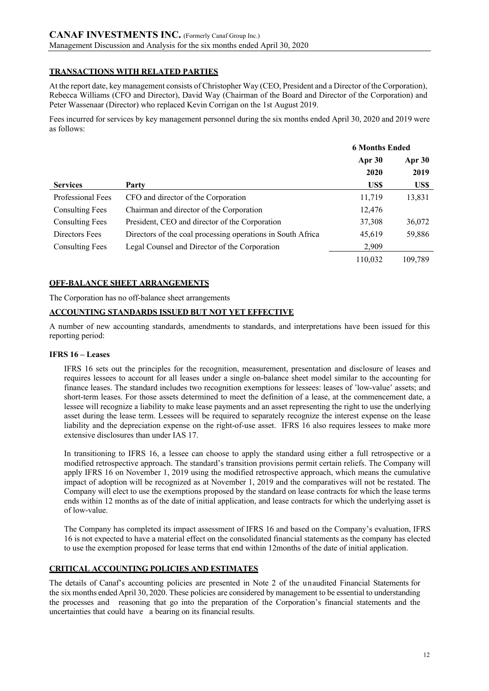## **TRANSACTIONS WITH RELATED PARTIES**

At the report date, key management consists of Christopher Way (CEO, President and a Director of the Corporation), Rebecca Williams (CFO and Director), David Way (Chairman of the Board and Director of the Corporation) and Peter Wassenaar (Director) who replaced Kevin Corrigan on the 1st August 2019.

Fees incurred for services by key management personnel during the six months ended April 30, 2020 and 2019 were as follows:

|                        |                                                             | <b>6 Months Ended</b> |         |
|------------------------|-------------------------------------------------------------|-----------------------|---------|
|                        |                                                             | Apr 30                | Apr 30  |
|                        |                                                             | 2020                  | 2019    |
| <b>Services</b>        | Party                                                       | US\$                  | US\$    |
| Professional Fees      | CFO and director of the Corporation                         | 11,719                | 13,831  |
| <b>Consulting Fees</b> | Chairman and director of the Corporation                    | 12,476                |         |
| <b>Consulting Fees</b> | President, CEO and director of the Corporation              | 37,308                | 36,072  |
| Directors Fees         | Directors of the coal processing operations in South Africa | 45,619                | 59,886  |
| <b>Consulting Fees</b> | Legal Counsel and Director of the Corporation               | 2,909                 |         |
|                        |                                                             | 110,032               | 109.789 |

## **OFF-BALANCE SHEET ARRANGEMENTS**

The Corporation has no off-balance sheet arrangements

#### **ACCOUNTING STANDARDS ISSUED BUT NOT YET EFFECTIVE**

A number of new accounting standards, amendments to standards, and interpretations have been issued for this reporting period:

#### **IFRS 16 – Leases**

IFRS 16 sets out the principles for the recognition, measurement, presentation and disclosure of leases and requires lessees to account for all leases under a single on-balance sheet model similar to the accounting for finance leases. The standard includes two recognition exemptions for lessees: leases of 'low-value' assets; and short-term leases. For those assets determined to meet the definition of a lease, at the commencement date, a lessee will recognize a liability to make lease payments and an asset representing the right to use the underlying asset during the lease term. Lessees will be required to separately recognize the interest expense on the lease liability and the depreciation expense on the right-of-use asset. IFRS 16 also requires lessees to make more extensive disclosures than under IAS 17.

In transitioning to IFRS 16, a lessee can choose to apply the standard using either a full retrospective or a modified retrospective approach. The standard's transition provisions permit certain reliefs. The Company will apply IFRS 16 on November 1, 2019 using the modified retrospective approach, which means the cumulative impact of adoption will be recognized as at November 1, 2019 and the comparatives will not be restated. The Company will elect to use the exemptions proposed by the standard on lease contracts for which the lease terms ends within 12 months as of the date of initial application, and lease contracts for which the underlying asset is of low-value.

The Company has completed its impact assessment of IFRS 16 and based on the Company's evaluation, IFRS 16 is not expected to have a material effect on the consolidated financial statements as the company has elected to use the exemption proposed for lease terms that end within 12months of the date of initial application.

## **CRITICAL ACCOUNTING POLICIES AND ESTIMATES**

The details of Canaf's accounting policies are presented in Note 2 of the unaudited Financial Statements for the six months ended April 30, 2020. These policies are considered by management to be essential to understanding the processes and reasoning that go into the preparation of the Corporation's financial statements and the uncertainties that could have a bearing on its financial results.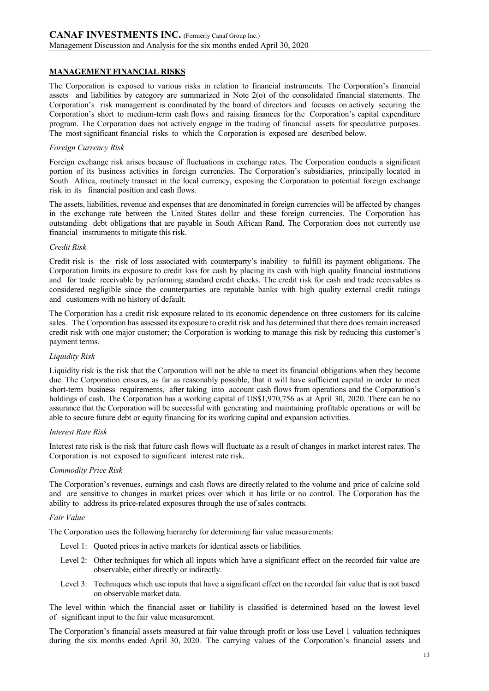## **MANAGEMENT FINANCIAL RISKS**

The Corporation is exposed to various risks in relation to financial instruments. The Corporation's financial assets and liabilities by category are summarized in Note 2(o) of the consolidated financial statements. The Corporation's risk management is coordinated by the board of directors and focuses on actively securing the Corporation's short to medium-term cash flows and raising finances for the Corporation's capital expenditure program. The Corporation does not actively engage in the trading of financial assets for speculative purposes. The most significant financial risks to which the Corporation is exposed are described below.

#### *Foreign Currency Risk*

Foreign exchange risk arises because of fluctuations in exchange rates. The Corporation conducts a significant portion of its business activities in foreign currencies. The Corporation's subsidiaries, principally located in South Africa, routinely transact in the local currency, exposing the Corporation to potential foreign exchange risk in its financial position and cash flows.

The assets, liabilities, revenue and expenses that are denominated in foreign currencies will be affected by changes in the exchange rate between the United States dollar and these foreign currencies. The Corporation has outstanding debt obligations that are payable in South African Rand. The Corporation does not currently use financial instruments to mitigate this risk.

### *Credit Risk*

Credit risk is the risk of loss associated with counterparty's inability to fulfill its payment obligations. The Corporation limits its exposure to credit loss for cash by placing its cash with high quality financial institutions and for trade receivable by performing standard credit checks. The credit risk for cash and trade receivables is considered negligible since the counterparties are reputable banks with high quality external credit ratings and customers with no history of default.

The Corporation has a credit risk exposure related to its economic dependence on three customers for its calcine sales. The Corporation has assessed its exposure to credit risk and has determined that there does remain increased credit risk with one major customer; the Corporation is working to manage this risk by reducing this customer's payment terms.

#### *Liquidity Risk*

Liquidity risk is the risk that the Corporation will not be able to meet its financial obligations when they become due. The Corporation ensures, as far as reasonably possible, that it will have sufficient capital in order to meet short-term business requirements, after taking into account cash flows from operations and the Corporation's holdings of cash. The Corporation has a working capital of US\$1,970,756 as at April 30, 2020. There can be no assurance that the Corporation will be successful with generating and maintaining profitable operations or will be able to secure future debt or equity financing for its working capital and expansion activities.

#### *Interest Rate Risk*

Interest rate risk is the risk that future cash flows will fluctuate as a result of changes in market interest rates. The Corporation is not exposed to significant interest rate risk.

#### *Commodity Price Risk*

The Corporation's revenues, earnings and cash flows are directly related to the volume and price of calcine sold and are sensitive to changes in market prices over which it has little or no control. The Corporation has the ability to address its price-related exposures through the use of sales contracts.

#### *Fair Value*

The Corporation uses the following hierarchy for determining fair value measurements:

- Level 1: Quoted prices in active markets for identical assets or liabilities.
- Level 2: Other techniques for which all inputs which have a significant effect on the recorded fair value are observable, either directly or indirectly.
- Level 3: Techniques which use inputs that have a significant effect on the recorded fair value that is not based on observable market data.

The level within which the financial asset or liability is classified is determined based on the lowest level of significant input to the fair value measurement.

The Corporation's financial assets measured at fair value through profit or loss use Level 1 valuation techniques during the six months ended April 30, 2020. The carrying values of the Corporation's financial assets and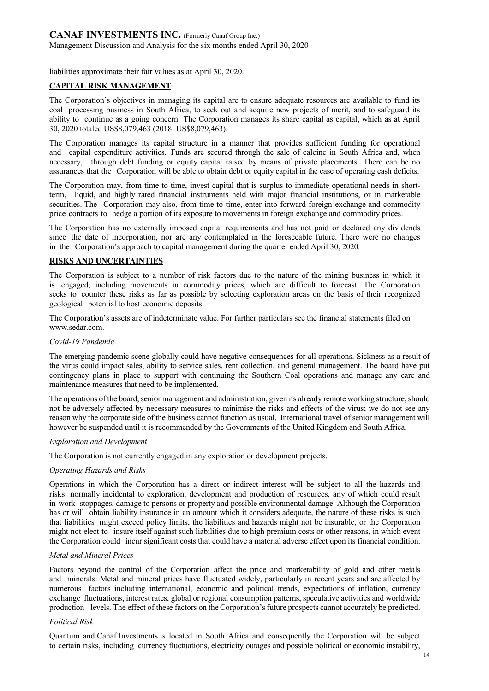liabilities approximate their fair values as at April 30, 2020.

#### **CAPITAL RISK MANAGEMENT**

The Corporation's objectives in managing its capital are to ensure adequate resources are available to fund its coal processing business in South Africa, to seek out and acquire new projects of merit, and to safeguard its ability to continue as a going concern. The Corporation manages its share capital as capital, which as at April 30, 2020 totaled US\$8,079,463 (2018: US\$8,079,463).

The Corporation manages its capital structure in a manner that provides sufficient funding for operational and capital expenditure activities. Funds are secured through the sale of calcine in South Africa and, when necessary, through debt funding or equity capital raised by means of private placements. There can be no assurances that the Corporation will be able to obtain debt or equity capital in the case of operating cash deficits.

The Corporation may, from time to time, invest capital that is surplus to immediate operational needs in shortterm, liquid, and highly rated financial instruments held with major financial institutions, or in marketable securities. The Corporation may also, from time to time, enter into forward foreign exchange and commodity price contracts to hedge a portion of its exposure to movements in foreign exchange and commodity prices.

The Corporation has no externally imposed capital requirements and has not paid or declared any dividends since the date of incorporation, nor are any contemplated in the foreseeable future. There were no changes in the Corporation's approach to capital management during the quarter ended April 30, 2020.

#### **RISKS AND UNCERTAINTIES**

The Corporation is subject to a number of risk factors due to the nature of the mining business in which it is engaged, including movements in commodity prices, which are difficult to forecast. The Corporation seeks to counter these risks as far as possible by selecting exploration areas on the basis of their recognized geological potential to host economic deposits.

The Corporation's assets are of indeterminate value. For further particulars see the financial statements filed on www.sedar.com.

#### *Covid-19 Pandemic*

The emerging pandemic scene globally could have negative consequences for all operations. Sickness as a result of the virus could impact sales, ability to service sales, rent collection, and general management. The board have put contingency plans in place to support with continuing the Southern Coal operations and manage any care and maintenance measures that need to be implemented.

The operations of the board, senior management and administration, given its already remote working structure, should not be adversely affected by necessary measures to minimise the risks and effects of the virus; we do not see any reason why the corporate side of the business cannot function as usual. International travel of senior management will however be suspended until it is recommended by the Governments of the United Kingdom and South Africa.

#### *Exploration and Development*

The Corporation is not currently engaged in any exploration or development projects.

#### *Operating Hazards and Risks*

Operations in which the Corporation has a direct or indirect interest will be subject to all the hazards and risks normally incidental to exploration, development and production of resources, any of which could result in work stoppages, damage to persons or property and possible environmental damage. Although the Corporation has or will obtain liability insurance in an amount which it considers adequate, the nature of these risks is such that liabilities might exceed policy limits, the liabilities and hazards might not be insurable, or the Corporation might not elect to insure itself against such liabilities due to high premium costs or other reasons, in which event the Corporation could incur significant costs that could have a material adverse effect upon its financial condition.

#### *Metal and Mineral Prices*

Factors beyond the control of the Corporation affect the price and marketability of gold and other metals and minerals. Metal and mineral prices have fluctuated widely, particularly in recent years and are affected by numerous factors including international, economic and political trends, expectations of inflation, currency exchange fluctuations, interest rates, global or regional consumption patterns, speculative activities and worldwide production levels. The effect of these factors on the Corporation'sfuture prospects cannot accurately be predicted.

#### *Political Risk*

Quantum and Canaf Investments is located in South Africa and consequently the Corporation will be subject to certain risks, including currency fluctuations, electricity outages and possible political or economic instability,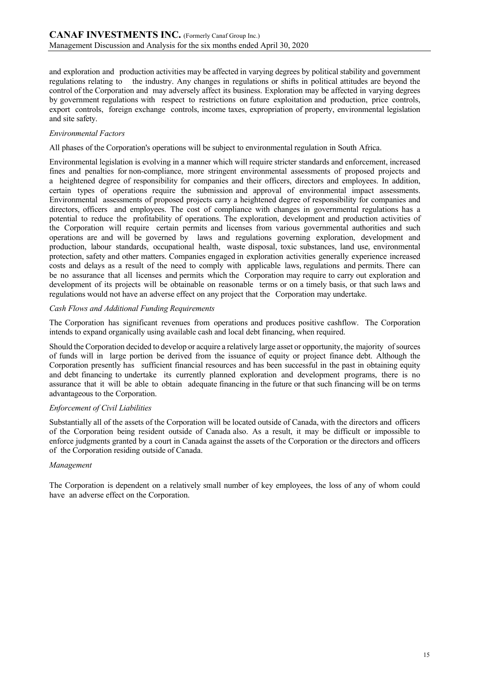and exploration and production activities may be affected in varying degrees by political stability and government regulations relating to the industry. Any changes in regulations or shifts in political attitudes are beyond the control of the Corporation and may adversely affect its business. Exploration may be affected in varying degrees by government regulations with respect to restrictions on future exploitation and production, price controls, export controls, foreign exchange controls, income taxes, expropriation of property, environmental legislation and site safety.

### *Environmental Factors*

All phases of the Corporation's operations will be subject to environmental regulation in South Africa.

Environmental legislation is evolving in a manner which will require stricter standards and enforcement, increased fines and penalties for non-compliance, more stringent environmental assessments of proposed projects and a heightened degree of responsibility for companies and their officers, directors and employees. In addition, certain types of operations require the submission and approval of environmental impact assessments. Environmental assessments of proposed projects carry a heightened degree of responsibility for companies and directors, officers and employees. The cost of compliance with changes in governmental regulations has a potential to reduce the profitability of operations. The exploration, development and production activities of the Corporation will require certain permits and licenses from various governmental authorities and such operations are and will be governed by laws and regulations governing exploration, development and production, labour standards, occupational health, waste disposal, toxic substances, land use, environmental protection, safety and other matters. Companies engaged in exploration activities generally experience increased costs and delays as a result of the need to comply with applicable laws, regulations and permits. There can be no assurance that all licenses and permits which the Corporation may require to carry out exploration and development of its projects will be obtainable on reasonable terms or on a timely basis, or that such laws and regulations would not have an adverse effect on any project that the Corporation may undertake.

### *Cash Flows and Additional Funding Requirements*

The Corporation has significant revenues from operations and produces positive cashflow. The Corporation intends to expand organically using available cash and local debt financing, when required.

Should the Corporation decided to develop or acquire a relatively large asset or opportunity, the majority ofsources of funds will in large portion be derived from the issuance of equity or project finance debt. Although the Corporation presently has sufficient financial resources and has been successful in the past in obtaining equity and debt financing to undertake its currently planned exploration and development programs, there is no assurance that it will be able to obtain adequate financing in the future or that such financing will be on terms advantageous to the Corporation.

## *Enforcement of Civil Liabilities*

Substantially all of the assets of the Corporation will be located outside of Canada, with the directors and officers of the Corporation being resident outside of Canada also. As a result, it may be difficult or impossible to enforce judgments granted by a court in Canada against the assets of the Corporation or the directors and officers of the Corporation residing outside of Canada.

#### *Management*

The Corporation is dependent on a relatively small number of key employees, the loss of any of whom could have an adverse effect on the Corporation.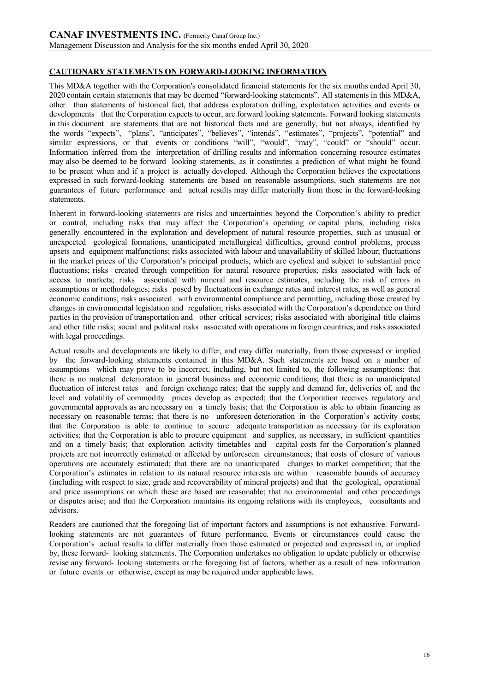## **CAUTIONARY STATEMENTS ON FORWARD-LOOKING INFORMATION**

This MD&A together with the Corporation's consolidated financial statements for the six months ended April 30, 2020 contain certain statements that may be deemed "forward-looking statements". All statements in this MD&A, other than statements of historical fact, that address exploration drilling, exploitation activities and events or developments that the Corporation expects to occur, are forward looking statements. Forward looking statements in this document are statements that are not historical facts and are generally, but not always, identified by the words "expects", "plans", "anticipates", "believes", "intends", "estimates", "projects", "potential" and similar expressions, or that events or conditions "will", "would", "may", "could" or "should" occur. Information inferred from the interpretation of drilling results and information concerning resource estimates may also be deemed to be forward looking statements, as it constitutes a prediction of what might be found to be present when and if a project is actually developed. Although the Corporation believes the expectations expressed in such forward-looking statements are based on reasonable assumptions, such statements are not guarantees of future performance and actual results may differ materially from those in the forward-looking statements.

Inherent in forward-looking statements are risks and uncertainties beyond the Corporation's ability to predict or control, including risks that may affect the Corporation's operating or capital plans, including risks generally encountered in the exploration and development of natural resource properties, such as unusual or unexpected geological formations, unanticipated metallurgical difficulties, ground control problems, process upsets and equipment malfunctions; risks associated with labour and unavailability of skilled labour; fluctuations in the market prices of the Corporation's principal products, which are cyclical and subject to substantial price fluctuations; risks created through competition for natural resource properties; risks associated with lack of access to markets; risks associated with mineral and resource estimates, including the risk of errors in assumptions or methodologies; risks posed by fluctuations in exchange rates and interest rates, as well as general economic conditions; risks associated with environmental compliance and permitting, including those created by changes in environmental legislation and regulation; risks associated with the Corporation's dependence on third parties in the provision of transportation and other critical services; risks associated with aboriginal title claims and other title risks; social and political risks associated with operations in foreign countries; and risks associated with legal proceedings.

Actual results and developments are likely to differ, and may differ materially, from those expressed or implied by the forward-looking statements contained in this MD&A. Such statements are based on a number of assumptions which may prove to be incorrect, including, but not limited to, the following assumptions: that there is no material deterioration in general business and economic conditions; that there is no unanticipated fluctuation of interest rates and foreign exchange rates; that the supply and demand for, deliveries of, and the level and volatility of commodity prices develop as expected; that the Corporation receives regulatory and governmental approvals as are necessary on a timely basis; that the Corporation is able to obtain financing as necessary on reasonable terms; that there is no unforeseen deterioration in the Corporation's activity costs; that the Corporation is able to continue to secure adequate transportation as necessary for its exploration activities; that the Corporation is able to procure equipment and supplies, as necessary, in sufficient quantities and on a timely basis; that exploration activity timetables and capital costs for the Corporation's planned projects are not incorrectly estimated or affected by unforeseen circumstances; that costs of closure of various operations are accurately estimated; that there are no unanticipated changes to market competition; that the Corporation's estimates in relation to its natural resource interests are within reasonable bounds of accuracy (including with respect to size, grade and recoverability of mineral projects) and that the geological, operational and price assumptions on which these are based are reasonable; that no environmental and other proceedings or disputes arise; and that the Corporation maintains its ongoing relations with its employees, consultants and advisors.

Readers are cautioned that the foregoing list of important factors and assumptions is not exhaustive. Forwardlooking statements are not guarantees of future performance. Events or circumstances could cause the Corporation's actual results to differ materially from those estimated or projected and expressed in, or implied by, these forward- looking statements. The Corporation undertakes no obligation to update publicly or otherwise revise any forward- looking statements or the foregoing list of factors, whether as a result of new information or future events or otherwise, except as may be required under applicable laws.